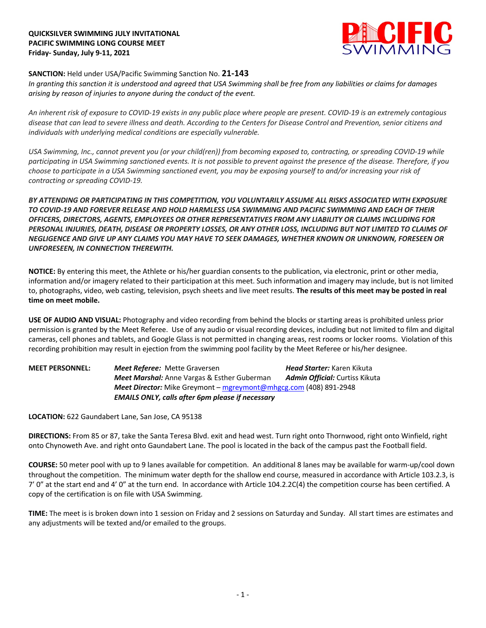## **QUICKSILVER SWIMMING JULY INVITATIONAL PACIFIC SWIMMING LONG COURSE MEET Friday- Sunday, July 9-11, 2021**



## **SANCTION:** Held under USA/Pacific Swimming Sanction No. **21-143**

*In granting this sanction it is understood and agreed that USA Swimming shall be free from any liabilities or claims for damages arising by reason of injuries to anyone during the conduct of the event.* 

*An inherent risk of exposure to COVID-19 exists in any public place where people are present. COVID-19 is an extremely contagious disease that can lead to severe illness and death. According to the Centers for Disease Control and Prevention, senior citizens and individuals with underlying medical conditions are especially vulnerable.*

*USA Swimming, Inc., cannot prevent you (or your child(ren)) from becoming exposed to, contracting, or spreading COVID-19 while participating in USA Swimming sanctioned events. It is not possible to prevent against the presence of the disease. Therefore, if you choose to participate in a USA Swimming sanctioned event, you may be exposing yourself to and/or increasing your risk of contracting or spreading COVID-19.*

*BY ATTENDING OR PARTICIPATING IN THIS COMPETITION, YOU VOLUNTARILY ASSUME ALL RISKS ASSOCIATED WITH EXPOSURE TO COVID-19 AND FOREVER RELEASE AND HOLD HARMLESS USA SWIMMING AND PACIFIC SWIMMING AND EACH OF THEIR OFFICERS, DIRECTORS, AGENTS, EMPLOYEES OR OTHER REPRESENTATIVES FROM ANY LIABILITY OR CLAIMS INCLUDING FOR PERSONAL INJURIES, DEATH, DISEASE OR PROPERTY LOSSES, OR ANY OTHER LOSS, INCLUDING BUT NOT LIMITED TO CLAIMS OF NEGLIGENCE AND GIVE UP ANY CLAIMS YOU MAY HAVE TO SEEK DAMAGES, WHETHER KNOWN OR UNKNOWN, FORESEEN OR UNFORESEEN, IN CONNECTION THEREWITH.*

**NOTICE:** By entering this meet, the Athlete or his/her guardian consents to the publication, via electronic, print or other media, information and/or imagery related to their participation at this meet. Such information and imagery may include, but is not limited to, photographs, video, web casting, television, psych sheets and live meet results. **The results of this meet may be posted in real time on meet mobile.**

**USE OF AUDIO AND VISUAL:** Photography and video recording from behind the blocks or starting areas is prohibited unless prior permission is granted by the Meet Referee. Use of any audio or visual recording devices, including but not limited to film and digital cameras, cell phones and tablets, and Google Glass is not permitted in changing areas, rest rooms or locker rooms. Violation of this recording prohibition may result in ejection from the swimming pool facility by the Meet Referee or his/her designee.

**MEET PERSONNEL:** *Meet Referee:* Mette Graversen *Head Starter:* Karen Kikuta *Meet Marshal:* Anne Vargas & Esther Guberman *Admin Official:* Curtiss Kikuta *Meet Director:* Mike Greymont – mgreymont@mhgcg.com (408) 891-2948 *EMAILS ONLY, calls after 6pm please if necessary*

**LOCATION:** 622 Gaundabert Lane, San Jose, CA 95138

**DIRECTIONS:** From 85 or 87, take the Santa Teresa Blvd. exit and head west. Turn right onto Thornwood, right onto Winfield, right onto Chynoweth Ave. and right onto Gaundabert Lane. The pool is located in the back of the campus past the Football field.

**COURSE:** 50 meter pool with up to 9 lanes available for competition. An additional 8 lanes may be available for warm-up/cool down throughout the competition. The minimum water depth for the shallow end course, measured in accordance with Article 103.2.3, is 7' 0" at the start end and 4' 0" at the turn end. In accordance with Article 104.2.2C(4) the competition course has been certified. A copy of the certification is on file with USA Swimming.

**TIME:** The meet is is broken down into 1 session on Friday and 2 sessions on Saturday and Sunday. All start times are estimates and any adjustments will be texted and/or emailed to the groups.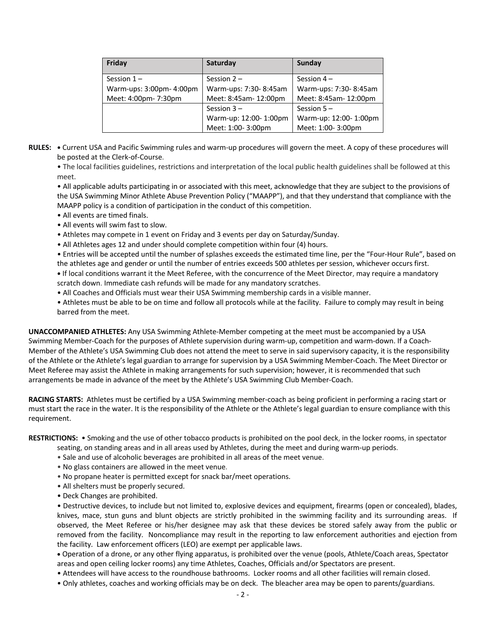| Friday                   | Saturday               | Sunday                 |  |  |
|--------------------------|------------------------|------------------------|--|--|
| Session $1 -$            | Session $2 -$          | Session $4-$           |  |  |
| Warm-ups: 3:00pm- 4:00pm | Warm-ups: 7:30-8:45am  | Warm-ups: 7:30-8:45am  |  |  |
| Meet: 4:00pm- 7:30pm     | Meet: 8:45am- 12:00pm  | Meet: 8:45am- 12:00pm  |  |  |
|                          | Session $3 -$          | Session $5 -$          |  |  |
|                          | Warm-up: 12:00- 1:00pm | Warm-up: 12:00- 1:00pm |  |  |
|                          | Meet: 1:00-3:00pm      | Meet: 1:00-3:00pm      |  |  |

**RULES: •** Current USA and Pacific Swimming rules and warm-up procedures will govern the meet. A copy of these procedures will be posted at the Clerk-of-Course.

• The local facilities guidelines, restrictions and interpretation of the local public health guidelines shall be followed at this meet.

• All applicable adults participating in or associated with this meet, acknowledge that they are subject to the provisions of the USA Swimming Minor Athlete Abuse Prevention Policy ("MAAPP"), and that they understand that compliance with the MAAPP policy is a condition of participation in the conduct of this competition.

- All events are timed finals.
- All events will swim fast to slow.
- Athletes may compete in 1 event on Friday and 3 events per day on Saturday/Sunday.
- All Athletes ages 12 and under should complete competition within four (4) hours.

• Entries will be accepted until the number of splashes exceeds the estimated time line, per the "Four-Hour Rule", based on the athletes age and gender or until the number of entries exceeds 500 athletes per session, whichever occurs first.

**•** If local conditions warrant it the Meet Referee, with the concurrence of the Meet Director, may require a mandatory scratch down. Immediate cash refunds will be made for any mandatory scratches.

• All Coaches and Officials must wear their USA Swimming membership cards in a visible manner.

• Athletes must be able to be on time and follow all protocols while at the facility. Failure to comply may result in being barred from the meet.

**UNACCOMPANIED ATHLETES:** Any USA Swimming Athlete-Member competing at the meet must be accompanied by a USA Swimming Member-Coach for the purposes of Athlete supervision during warm-up, competition and warm-down. If a Coach-Member of the Athlete's USA Swimming Club does not attend the meet to serve in said supervisory capacity, it is the responsibility of the Athlete or the Athlete's legal guardian to arrange for supervision by a USA Swimming Member-Coach. The Meet Director or Meet Referee may assist the Athlete in making arrangements for such supervision; however, it is recommended that such arrangements be made in advance of the meet by the Athlete's USA Swimming Club Member-Coach.

**RACING STARTS:** Athletes must be certified by a USA Swimming member-coach as being proficient in performing a racing start or must start the race in the water. It is the responsibility of the Athlete or the Athlete's legal guardian to ensure compliance with this requirement.

**RESTRICTIONS:** • Smoking and the use of other tobacco products is prohibited on the pool deck, in the locker rooms, in spectator

- seating, on standing areas and in all areas used by Athletes, during the meet and during warm-up periods.
- Sale and use of alcoholic beverages are prohibited in all areas of the meet venue.
- No glass containers are allowed in the meet venue.
- No propane heater is permitted except for snack bar/meet operations.
- All shelters must be properly secured.
- Deck Changes are prohibited.

• Destructive devices, to include but not limited to, explosive devices and equipment, firearms (open or concealed), blades, knives, mace, stun guns and blunt objects are strictly prohibited in the swimming facility and its surrounding areas. If observed, the Meet Referee or his/her designee may ask that these devices be stored safely away from the public or removed from the facility. Noncompliance may result in the reporting to law enforcement authorities and ejection from the facility. Law enforcement officers (LEO) are exempt per applicable laws.

• Operation of a drone, or any other flying apparatus, is prohibited over the venue (pools, Athlete/Coach areas, Spectator areas and open ceiling locker rooms) any time Athletes, Coaches, Officials and/or Spectators are present.

- Attendees will have access to the roundhouse bathrooms. Locker rooms and all other facilities will remain closed.
- Only athletes, coaches and working officials may be on deck. The bleacher area may be open to parents/guardians.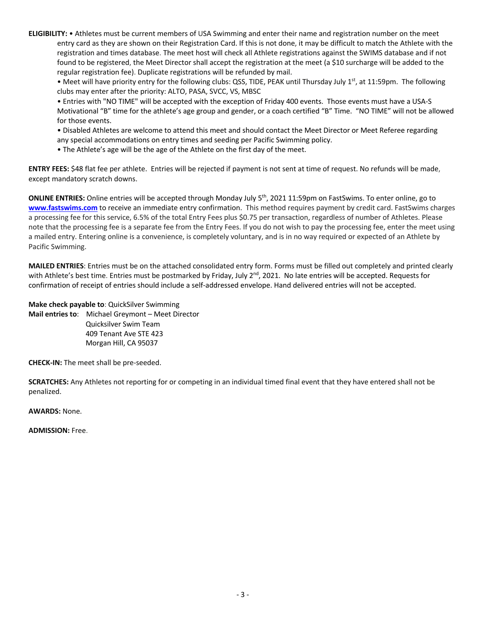**ELIGIBILITY:** • Athletes must be current members of USA Swimming and enter their name and registration number on the meet entry card as they are shown on their Registration Card. If this is not done, it may be difficult to match the Athlete with the registration and times database. The meet host will check all Athlete registrations against the SWIMS database and if not found to be registered, the Meet Director shall accept the registration at the meet (a \$10 surcharge will be added to the regular registration fee). Duplicate registrations will be refunded by mail.

• Meet will have priority entry for the following clubs: QSS, TIDE, PEAK until Thursday July  $1<sup>st</sup>$ , at 11:59pm. The following clubs may enter after the priority: ALTO, PASA, SVCC, VS, MBSC

• Entries with "NO TIME" will be accepted with the exception of Friday 400 events. Those events must have a USA-S Motivational "B" time for the athlete's age group and gender, or a coach certified "B" Time. "NO TIME" will not be allowed for those events.

• Disabled Athletes are welcome to attend this meet and should contact the Meet Director or Meet Referee regarding any special accommodations on entry times and seeding per Pacific Swimming policy.

• The Athlete's age will be the age of the Athlete on the first day of the meet.

**ENTRY FEES:** \$48 flat fee per athlete. Entries will be rejected if payment is not sent at time of request. No refunds will be made, except mandatory scratch downs.

**ONLINE ENTRIES:** Online entries will be accepted through Monday July 5th, 2021 11:59pm on FastSwims. To enter online, go to **www.fastswims.com** to receive an immediate entry confirmation. This method requires payment by credit card. FastSwims charges a processing fee for this service, 6.5% of the total Entry Fees plus \$0.75 per transaction, regardless of number of Athletes. Please note that the processing fee is a separate fee from the Entry Fees. If you do not wish to pay the processing fee, enter the meet using a mailed entry. Entering online is a convenience, is completely voluntary, and is in no way required or expected of an Athlete by Pacific Swimming.

**MAILED ENTRIES**: Entries must be on the attached consolidated entry form. Forms must be filled out completely and printed clearly with Athlete's best time. Entries must be postmarked by Friday, July 2<sup>nd</sup>, 2021. No late entries will be accepted. Requests for confirmation of receipt of entries should include a self-addressed envelope. Hand delivered entries will not be accepted.

**Make check payable to**: QuickSilver Swimming **Mail entries to**: Michael Greymont – Meet Director Quicksilver Swim Team 409 Tenant Ave STE 423 Morgan Hill, CA 95037

**CHECK-IN:** The meet shall be pre-seeded.

**SCRATCHES:** Any Athletes not reporting for or competing in an individual timed final event that they have entered shall not be penalized.

**AWARDS:** None.

**ADMISSION:** Free.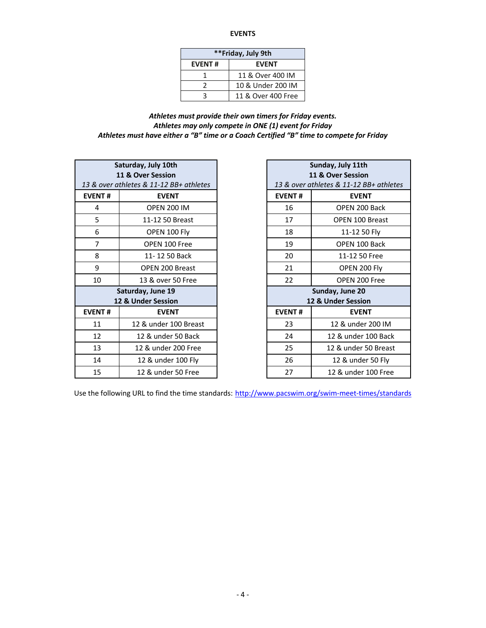**EVENTS**

| **Friday, July 9th            |                    |  |  |  |  |
|-------------------------------|--------------------|--|--|--|--|
| <b>EVENT#</b><br><b>EVENT</b> |                    |  |  |  |  |
|                               | 11 & Over 400 IM   |  |  |  |  |
|                               | 10 & Under 200 IM  |  |  |  |  |
|                               | 11 & Over 400 Free |  |  |  |  |

*Athletes must provide their own timers for Friday events. Athletes may only compete in ONE (1) event for Friday Athletes must have either a "B" time or a Coach Certified "B" time to compete for Friday*

|                                         | Saturday, July 10th<br>11 & Over Session | Sunday, July 11th<br>11 & Over Session |                                     |  |
|-----------------------------------------|------------------------------------------|----------------------------------------|-------------------------------------|--|
| 13 & over athletes & 11-12 BB+ athletes |                                          |                                        | 13 & over athletes & 11-12 BB+ athi |  |
| <b>EVENT#</b>                           | <b>EVENT</b>                             | <b>EVENT#</b>                          | <b>EVENT</b>                        |  |
| 4                                       | <b>OPEN 200 IM</b>                       | 16                                     | OPEN 200 Back                       |  |
| 5                                       | 11-12 50 Breast                          | 17                                     | <b>OPEN 100 Breast</b>              |  |
| 6                                       | OPEN 100 Fly                             | 18<br>11-12 50 Fly                     |                                     |  |
| $\overline{7}$                          | OPEN 100 Free                            | 19<br>OPEN 100 Back                    |                                     |  |
| 8                                       | 11-12 50 Back                            | 20                                     | 11-12 50 Free                       |  |
| 9                                       | <b>OPEN 200 Breast</b>                   | 21                                     | OPEN 200 Fly                        |  |
| 10                                      | 13 & over 50 Free                        | 22                                     | OPEN 200 Free                       |  |
|                                         | Saturday, June 19                        | Sunday, June 20                        |                                     |  |
| 12 & Under Session                      |                                          |                                        | 12 & Under Session                  |  |
| <b>EVENT#</b>                           | <b>EVENT</b>                             | <b>EVENT#</b>                          | <b>EVENT</b>                        |  |
| 11                                      | 12 & under 100 Breast                    | 23                                     | 12 & under 200 IN                   |  |
| 12                                      | 12 & under 50 Back                       | 24                                     | 12 & under 100 Bao                  |  |
| 13                                      | 12 & under 200 Free                      | 25                                     | 12 & under 50 Brea                  |  |
| 14                                      | 12 & under 100 Fly                       | 26                                     | 12 & under 50 Fly                   |  |
| 15                                      | 12 & under 50 Free                       | 27                                     | 12 & under 100 Fre                  |  |
|                                         |                                          |                                        |                                     |  |

|                  | Saturday, July 10th<br>11 & Over Session<br>& over athletes & 11-12 BB+ athletes |                                       | Sunday, July 11th<br>11 & Over Session<br>13 & over athletes & 11-12 BB+ athletes |  |
|------------------|----------------------------------------------------------------------------------|---------------------------------------|-----------------------------------------------------------------------------------|--|
| ENT#             | <b>EVENT</b>                                                                     | <b>EVENT#</b>                         | <b>EVENT</b>                                                                      |  |
| $\overline{4}$   | <b>OPEN 200 IM</b>                                                               | 16                                    | OPEN 200 Back                                                                     |  |
| $\overline{5}$   | 11-12 50 Breast                                                                  | 17                                    | OPEN 100 Breast                                                                   |  |
| $\boldsymbol{6}$ | OPEN 100 Fly                                                                     | 18                                    | 11-12 50 Fly                                                                      |  |
| $\overline{7}$   | OPEN 100 Free                                                                    | 19                                    | OPEN 100 Back                                                                     |  |
| 8                | 11-12 50 Back                                                                    | 20                                    | 11-12 50 Free                                                                     |  |
| $\boldsymbol{9}$ | OPEN 200 Breast                                                                  | 21                                    | OPEN 200 Fly                                                                      |  |
| 10               | 13 & over 50 Free                                                                | 22                                    | OPEN 200 Free                                                                     |  |
|                  | Saturday, June 19<br>12 & Under Session                                          | Sunday, June 20<br>12 & Under Session |                                                                                   |  |
| ENT#             | <b>EVENT</b>                                                                     | <b>EVENT#</b>                         | <b>EVENT</b>                                                                      |  |
| 11               | 12 & under 100 Breast                                                            | 23                                    | 12 & under 200 IM                                                                 |  |
| 12               | 12 & under 50 Back                                                               | 24                                    | 12 & under 100 Back                                                               |  |
| 13               | 12 & under 200 Free                                                              | 25                                    | 12 & under 50 Breast                                                              |  |
| 14               | 12 & under 100 Fly                                                               | 26                                    | 12 & under 50 Fly                                                                 |  |
| 15               | 12 & under 50 Free                                                               | 27                                    | 12 & under 100 Free                                                               |  |

Use the following URL to find the time standards: http://www.pacswim.org/swim-meet-times/standards